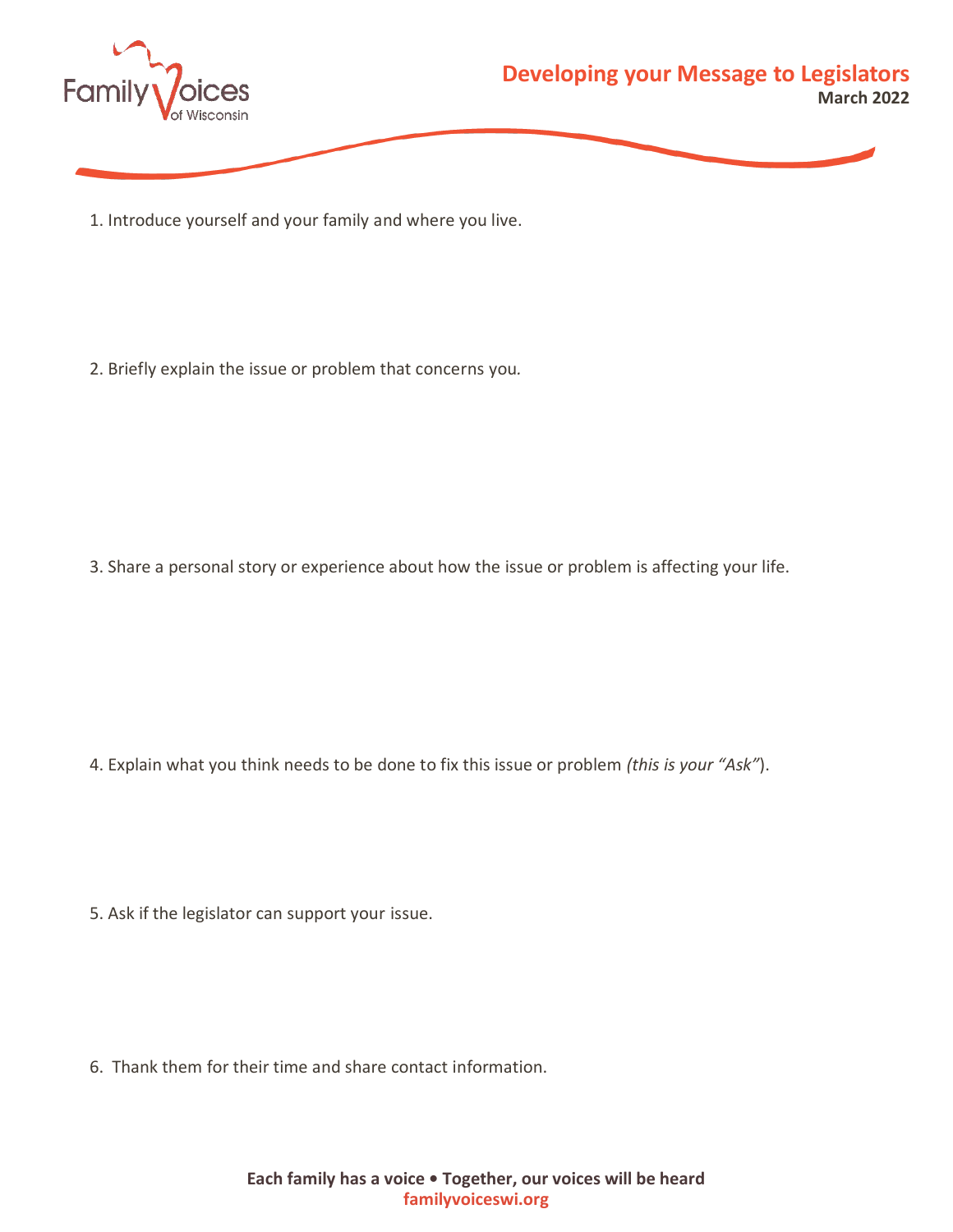

1. Introduce yourself and your family and where you live.

2. Briefly explain the issue or problem that concerns you*.* 

3. Share a personal story or experience about how the issue or problem is affecting your life.

4. Explain what you think needs to be done to fix this issue or problem *(this is your "Ask"*).

5. Ask if the legislator can support your issue.

6. Thank them for their time and share contact information.